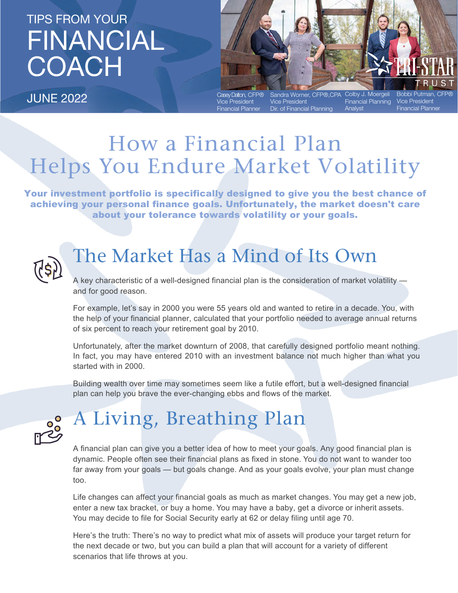## TIPS FROM YOUR FINANCIAL **COACH**

JUNE 2022



Vice President Financial Planner

Vice President Dir. of Financial Plannin Financial Planning Analyst

Vice President Financial Planner

## How a Financial Plan Helps You Endure Market Volatility

Your investment portfolio is specifically designed to give you the best chance of achieving your personal finance goals. Unfortunately, the market doesn't care about your tolerance towards volatility or your goals.



### The Market Has a Mind of Its Own

A key characteristic of a well-designed financial plan is the consideration of market volatility and for good reason.

For example, let's say in 2000 you were 55 years old and wanted to retire in a decade. You, with the help of your financial planner, calculated that your portfolio needed to average annual returns of six percent to reach your retirement goal by 2010.

Unfortunately, after the market downturn of 2008, that carefully designed portfolio meant nothing. In fact, you may have entered 2010 with an investment balance not much higher than what you started with in 2000.

Building wealth over time may sometimes seem like a futile effort, but a well-designed financial plan can help you brave the ever-changing ebbs and flows of the market.



# A Living, Breathing Plan

A financial plan can give you a better idea of how to meet your goals. Any good financial plan is dynamic. People often see their financial plans as fixed in stone. You do not want to wander too far away from your goals — but goals change. And as your goals evolve, your plan must change too.

Life changes can affect your financial goals as much as market changes. You may get a new job, enter a new tax bracket, or buy a home. You may have a baby, get a divorce or inherit assets. You may decide to file for Social Security early at 62 or delay filing until age 70.

Here's the truth: There's no way to predict what mix of assets will produce your target return for the next decade or two, but you can build a plan that will account for a variety of different scenarios that life throws at you.